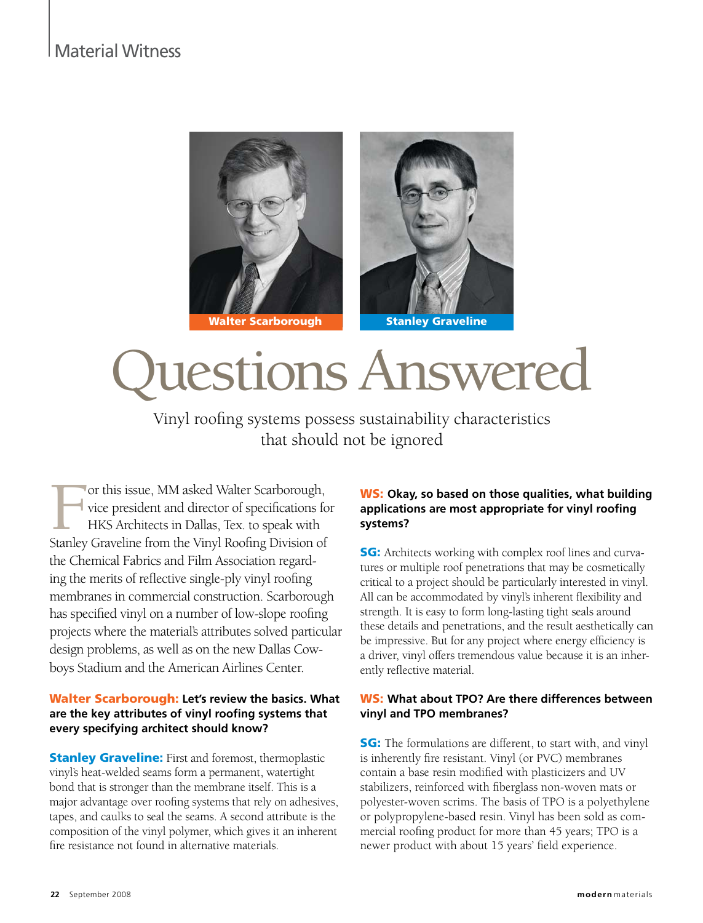# Material Witness



# uestions Answered

Vinyl roofing systems possess sustainability characteristics that should not be ignored

For this issue, MM asked Walter Scarborough,<br>vice president and director of specifications for<br>HKS Architects in Dallas, Tex. to speak with<br>Stanley Graveline from the Vinyl Roofing Division of vice president and director of specifications for HKS Architects in Dallas, Tex. to speak with Stanley Graveline from the Vinyl Roofing Division of the Chemical Fabrics and Film Association regarding the merits of reflective single-ply vinyl roofing membranes in commercial construction. Scarborough has specified vinyl on a number of low-slope roofing projects where the material's attributes solved particular design problems, as well as on the new Dallas Cowboys Stadium and the American Airlines Center.

#### Walter Scarborough: **Let's review the basics. What are the key attributes of vinyl roofing systems that every specifying architect should know?**

**Stanley Graveline:** First and foremost, thermoplastic vinyl's heat-welded seams form a permanent, watertight bond that is stronger than the membrane itself. This is a major advantage over roofing systems that rely on adhesives, tapes, and caulks to seal the seams. A second attribute is the composition of the vinyl polymer, which gives it an inherent fire resistance not found in alternative materials.

#### WS: **Okay, so based on those qualities, what building applications are most appropriate for vinyl roofing systems?**

**SG:** Architects working with complex roof lines and curvatures or multiple roof penetrations that may be cosmetically critical to a project should be particularly interested in vinyl. All can be accommodated by vinyl's inherent flexibility and strength. It is easy to form long-lasting tight seals around these details and penetrations, and the result aesthetically can be impressive. But for any project where energy efficiency is a driver, vinyl offers tremendous value because it is an inherently reflective material.

#### WS: **What about TPO? Are there differences between vinyl and TPO membranes?**

**SG:** The formulations are different, to start with, and vinyl is inherently fire resistant. Vinyl (or PVC) membranes contain a base resin modified with plasticizers and UV stabilizers, reinforced with fiberglass non-woven mats or polyester-woven scrims. The basis of TPO is a polyethylene or polypropylene-based resin. Vinyl has been sold as commercial roofing product for more than 45 years; TPO is a newer product with about 15 years' field experience.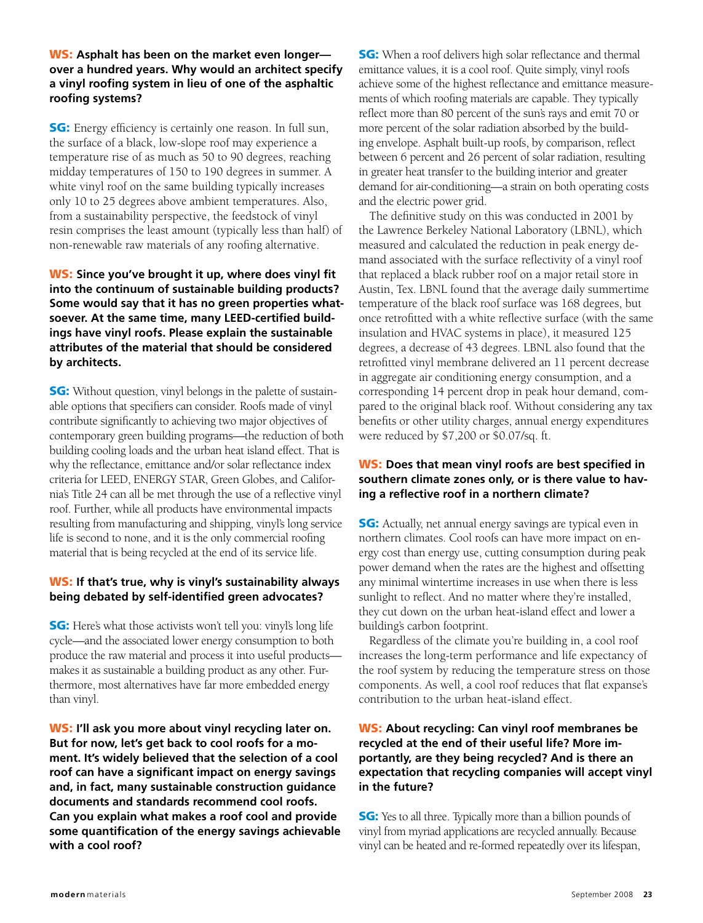WS: **Asphalt has been on the market even longer over a hundred years. Why would an architect specify a vinyl roofing system in lieu of one of the asphaltic roofing systems?**

**SG:** Energy efficiency is certainly one reason. In full sun, the surface of a black, low-slope roof may experience a temperature rise of as much as 50 to 90 degrees, reaching midday temperatures of 150 to 190 degrees in summer. A white vinyl roof on the same building typically increases only 10 to 25 degrees above ambient temperatures. Also, from a sustainability perspective, the feedstock of vinyl resin comprises the least amount (typically less than half) of non-renewable raw materials of any roofing alternative.

#### WS: **Since you've brought it up, where does vinyl fit into the continuum of sustainable building products? Some would say that it has no green properties whatsoever. At the same time, many LEED-certified buildings have vinyl roofs. Please explain the sustainable attributes of the material that should be considered by architects.**

**SG:** Without question, vinyl belongs in the palette of sustainable options that specifiers can consider. Roofs made of vinyl contribute significantly to achieving two major objectives of contemporary green building programs—the reduction of both building cooling loads and the urban heat island effect. That is why the reflectance, emittance and/or solar reflectance index criteria for LEED, ENERGY STAR, Green Globes, and California's Title 24 can all be met through the use of a reflective vinyl roof. Further, while all products have environmental impacts resulting from manufacturing and shipping, vinyl's long service life is second to none, and it is the only commercial roofing material that is being recycled at the end of its service life.

#### WS: **If that's true, why is vinyl's sustainability always being debated by self-identified green advocates?**

**SG:** Here's what those activists won't tell you: vinyl's long life cycle—and the associated lower energy consumption to both produce the raw material and process it into useful products makes it as sustainable a building product as any other. Furthermore, most alternatives have far more embedded energy than vinyl.

WS: **I'll ask you more about vinyl recycling later on. But for now, let's get back to cool roofs for a moment. It's widely believed that the selection of a cool roof can have a significant impact on energy savings and, in fact, many sustainable construction guidance documents and standards recommend cool roofs. Can you explain what makes a roof cool and provide some quantification of the energy savings achievable with a cool roof?**

**SG:** When a roof delivers high solar reflectance and thermal emittance values, it is a cool roof. Quite simply, vinyl roofs achieve some of the highest reflectance and emittance measurements of which roofing materials are capable. They typically reflect more than 80 percent of the sun's rays and emit 70 or more percent of the solar radiation absorbed by the building envelope. Asphalt built-up roofs, by comparison, reflect between 6 percent and 26 percent of solar radiation, resulting in greater heat transfer to the building interior and greater demand for air-conditioning—a strain on both operating costs and the electric power grid.

The definitive study on this was conducted in 2001 by the Lawrence Berkeley National Laboratory (LBNL), which measured and calculated the reduction in peak energy demand associated with the surface reflectivity of a vinyl roof that replaced a black rubber roof on a major retail store in Austin, Tex. LBNL found that the average daily summertime temperature of the black roof surface was 168 degrees, but once retrofitted with a white reflective surface (with the same insulation and HVAC systems in place), it measured 125 degrees, a decrease of 43 degrees. LBNL also found that the retrofitted vinyl membrane delivered an 11 percent decrease in aggregate air conditioning energy consumption, and a corresponding 14 percent drop in peak hour demand, compared to the original black roof. Without considering any tax benefits or other utility charges, annual energy expenditures were reduced by \$7,200 or \$0.07/sq. ft.

#### WS: **Does that mean vinyl roofs are best specified in southern climate zones only, or is there value to having a reflective roof in a northern climate?**

**SG:** Actually, net annual energy savings are typical even in northern climates. Cool roofs can have more impact on energy cost than energy use, cutting consumption during peak power demand when the rates are the highest and offsetting any minimal wintertime increases in use when there is less sunlight to reflect. And no matter where they're installed, they cut down on the urban heat-island effect and lower a building's carbon footprint.

Regardless of the climate you're building in, a cool roof increases the long-term performance and life expectancy of the roof system by reducing the temperature stress on those components. As well, a cool roof reduces that flat expanse's contribution to the urban heat-island effect.

#### WS: **About recycling: Can vinyl roof membranes be recycled at the end of their useful life? More importantly, are they being recycled? And is there an expectation that recycling companies will accept vinyl in the future?**

**SG:** Yes to all three. Typically more than a billion pounds of vinyl from myriad applications are recycled annually. Because vinyl can be heated and re-formed repeatedly over its lifespan,